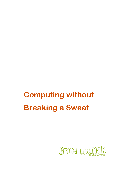# **Computing without Breaking a Sweat**

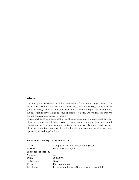#### Abstract:

My laptop always seems to be hot and sweaty from doing things, even if I'm not asking it to do anything. This is a senseless waste of energy, and it is largel y due to design choices that stem from an era when energy was in abundent supply. Mobile devices and the end of cheap fossil fuel are two reasons why we should change, and conserve energy.

This report dives into the lowest levels of computing, and explains which energyefficiency improvements are currently being worked on, and how we should change our style of hardware and software design. We sketch the architecture of future computers, starting at the level of the hardware and working our way up to kernel and applications.

| Title: | Computing without Brea |
|--------|------------------------|
|        |                        |

Document descriptive information:

| Title:             | Computing without Breaking a Sweat             |
|--------------------|------------------------------------------------|
| Author:            | Dr.ir. Rick van Rein                           |
| rick@groengemak.nl |                                                |
| Version:           | 1.0                                            |
| $\text{Date:}$     | 2003/09/07                                     |
| ASN.1 oid:         | N/A                                            |
| Release:           | For Cannondale                                 |
| Legal status:      | Informational, GroenGemak assumes no liability |
|                    |                                                |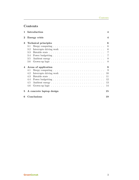# Contents

| 1        |                             | Introduction                                                                         | 4              |  |  |  |
|----------|-----------------------------|--------------------------------------------------------------------------------------|----------------|--|--|--|
| $\bf{2}$ | Energy crisis               |                                                                                      |                |  |  |  |
| 3        | <b>Technical principles</b> |                                                                                      |                |  |  |  |
|          | 3.1                         | Sleepy computing $\dots \dots \dots \dots \dots \dots \dots \dots \dots \dots \dots$ | 6              |  |  |  |
|          | 3.2                         |                                                                                      | 6              |  |  |  |
|          | 3.3                         |                                                                                      | $\overline{7}$ |  |  |  |
|          | 3.4                         |                                                                                      | 7              |  |  |  |
|          | 3.5                         |                                                                                      | 8              |  |  |  |
|          | 3.6                         |                                                                                      | 8              |  |  |  |
| 4        |                             | Areas of application                                                                 | 9              |  |  |  |
|          | 4.1                         | Sleepy computing $\dots \dots \dots \dots \dots \dots \dots \dots \dots \dots \dots$ | 9              |  |  |  |
|          | 4.2                         |                                                                                      | 10             |  |  |  |
|          | 4.3                         |                                                                                      | 11             |  |  |  |
|          | 4.4                         |                                                                                      | 12             |  |  |  |
|          | 4.5                         |                                                                                      | 13             |  |  |  |
|          | 4.6                         |                                                                                      | 14             |  |  |  |
| 5        |                             | A concrete laptop design                                                             | 15             |  |  |  |
| 6        |                             | Conclusions                                                                          | 19             |  |  |  |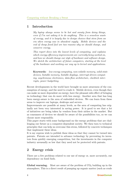# 1 Introduction

My laptop always seems to be hot and sweaty from doing things, even if I'm not asking it to do anything. This is a senseless waste of energy, and it is largely due to design choices that stem from an era when energy was in abundent supply. Mobile devices and the end of cheap fossil fuel are two reasons why we should change, and conserve energy.

This report dives into the lowest levels of computing, and explains which energy-efficiency improvements are currently being worked on, and how we should change our style of hardware and software design. We sketch the architecture of future computers, starting at the level of the hardware and working our way up to kernel and applications.

Keywords: low-energy computing, non-volatile memory, solid-state devices, bistable memory, bistable displays, interrupt-driven computing, asychronous electronics, data-flow architecture, clocktick interrupts, power budgetting.

Recent developments in the world have brought us more awareness of the consumption of energy, and the need to evade it. Mobile devices, even though they can make us more dependent on energy, have the pleasant side-effect of bringing us technology that can do more with less energy. Another area that has long been energy-aware is the area of embedded devices. We can learn from these areas to improve our laptops, desktops and servers.

Improvements are possible at many levels, as the area of computing has originally not been very interested in saving power. It is good to see that a lot of initiatives are being taken by vendors from their niches in the market. But as consumers of devices we should be aware of the possibilities too, so we can choose more responsibly.

This paper starts with some background on the energy problems that are challenging our future as a computer-dependent society. We then turn to technical principles that can help us overcome this stress, followed by concrete techniques that implement these ideas.

It is my express wish to publish these ideas so that they cannot be turned into patents. Patents are intended to advance technology by preventing its inventors from quickly emerging competition, but the investments in the computer industry areusually so low that they need not be protected with patents.

# 2 Energy crisis

There are a few problems related to our use of energy or, more accurately, our dependency on fossil fuels.

**Global warming.** Most are aware of the problem of  $CO<sub>2</sub>$  building up in the atmosphere, This is a direct result of pumping up organic matter (such as crude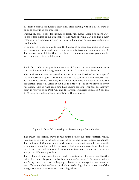oil) from beneath the Earth's crust and, after playing with it a little, burn it up so it ends up in the atmosphere.

Putting an end to our dependency of fossil fuel means adding no more  $CO<sub>2</sub>$ to the outer skirts of our atmosphere, and thus allowing Earth to find a new balance for its temperature, one in which we hope most species can continue to live happily.

Of course, we would be wise to help the balance to be more favourable to us and the species on which we depend (from bacteria to trees and complex animals). The simplest way of doing that is to plant trees and other forms of green plants. We assume all this is well-knowne

**Peak Oil.** The other problem is not as well-known, but in an economic sense it is much more challanging to our way of life. It is known as Peak Oil.

The production of any resource that is dug out of the Earth takes the shape of the bell curve in Figure 1. In the beginning it is easy to find the resource, but as we advance we are less likely to hit upon new locations offering it, and the production drops off. After about half is extracted, the curve drops to never rise again. This is what geologists have known for long. For Oil, the halfway point is referred to as Peak Oil, and the average geologist estimates it around 2010, with only a few years of variation in the estimates.



Figure 1: Peak Oil is nearing, while our energy demands rise.

The other, exponential curve in the figure depicts our usage pattern, which rises and rises, due to the growth that we have come to expect from economies. The addition of Chindia to the world market is a good example, the growth of humanity is another well-known cause. But we should also think about our own lives: If we find it normal to consume a little more power every year, we are part of this same problem.

The problem of ever-rising demands and known-to-drop offering means that the price of oil can only go up, probably at an amazing pace. This means that we are facing one of the most challenging problems of technology that we have ever seen: To retain what we like so much about technology, but at a fraction of the energy we are now consuming to get things done.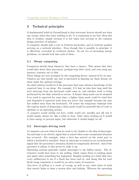# 3 Technical principles

A fundamental belief at GroenGemak is that electronic devices should not burn any energy when they have nothing to do. It is surprising to see how often this idea is trodden, simply because it is not taken into account in the common design practices of industry.

A computer should take a rest in between keystrokes, and in between packets arriving on a network interface. Even though this is possible in principle, it is effectively overruled by technical choices. In our era of increasing energy problems, we should look into each of these.

## 3.1 Sleepy computing

Computers should sleep whenever they have a chance. This means that they would shut down their processors, perhaps stop their clock, and even swap any memory contents out to disk.

These things are best arranged by the computing device, instead of by its user. Chances are that hardly any user is interested in figuring out these details, let alone make the optimal settings.

An ideal solution would be if the processor had some advance knowledge of the expected time it can sleep. For example, if it had an idea how long until the next interrupt from the keyboard could come in, and whether work is being performed by the disk, network or screen. A deeper sleep mode can be assumed if no work is expected for some time; a lighter sleep mode could be tried first and deepened if expected work does not arrive (for example because the user has walked away from the keyboard). Of course the temporary wakeups with the express intent of deepening a sleep mode would be powerful bits of code to optimise in an operating system.

A computer would ideally not have visible modes for standby and off, but it would simply always be, like a table or door. Only when working on it would it burn energy to process input, but otherwise it would simply be off.

## 3.2 Interrupts driving work

A computer can rest when it has no work to do, thanks to the idea of interrupts. An interrupt is an electric signal that is raised when some exceptional situation has occurred. For example, when a byte has arrived on the serial port to which a keyboard is attached. Such an interrupt is treated as an a-synchronous signal that the processor's attention should be temporarily diverted. And if the processor is asleep, it also serves to wake it up.

Operating systems generally exploit interrupts to the fullest extent. The alternative would have been to use polling, which comes down to looking again and again when something has happened. Imagine looking at a hard disk once every millisecond to see if a block has been read in, and doing this for each block being requested; it would be an utter waste of resources.

Any form of polling is a waste of energy, as well as any other form of work that merely helps to keep a system alive and kicking. Whereas the operating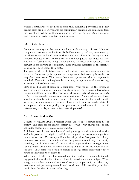system is often aware of the need to avoid this, individual peripherals and their drivers often are not. Keyboards are continuously scanned and some mice take pictures of the desk below them, as if energy was free. Peripherals are one area where design for reduced polling is a good idea.

#### 3.3 Bistable state

Computer memory can be made in a lot of different ways. In old-fashioned computers there were mechanisms like bubble memory and ring core memory, but these were abandoned because they could not achieve the density and automated production that we required for cheap computers. We ended up with static RAM (based on flip-flops) and dynamic RAM (based on capacitors). This brought us the advantage of compact, silicon-etchable memories, at the expense of using energy to retain their state.

The general idea of bistable state is that a device has two states in which it is stable. Some energy is required to change state, but nothing is needed to keep the current state. This means that state is preserved when a computer is switched of  $\mathcal{L}$  a feat unimagineable to us now, but quite normal when storing all state in a bistable manner.

State is used in lots of places in a computer. What we see on the screen, is stored in the main memory and on hard disks, as well as in lots of intermediate registers scattered around the hardware. A system with all storage elements replaced with bistable constructions would not notice being switched off. Even a system with only main memory changed to something bistable could benefit, as its only response to power loss would have to be to enter suspended state. If a computer could resume quickly after power-on, it could even switch itself off between (say) two keystrokes or two network packets!

#### 3.4 Power budgetting

Computers regulate ACPI, processor speed and so on to reduce their use of energy. This aims for the longest battery life or the lowest energy bill one can get under certain performance requirements.

A different use of these techniques of saving energy would be to consider the available power as a budget, on which the computer has to somehow perform its duties, or stop. For example, if a solar cell provides less power in a dimly lit room, less power is available and so the processor could only run slowly. Weighing the disadvantages of this slow-down against the advantage of not having to drag around batteries could actually end up either way, depending on the user. That balance is bound to change as energy prices make people more aware of their need to conserve it.

When in bright light, the solar-powered machine could perform marvels, including graphical wizardry that it would have bypassed while on a budget. When energy is abundant, animated window closes may be pleasant, but when they slow down text processing we could well do without. All these things can be a result from the idea of power budgetting.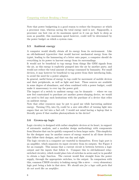Note that power budgetting is a good reason to reduce the frequency at which a processor runs, whereas saving the total energy used is not. Supposedly, a processor can best run at its maximum speed so it can go back to sleep as soon as possible; this maximum speed however, could well be determined by the power budget on which a system runs.

## 3.5 Ambient energy

A computer would ideally obtain all its energy from its environment. Like an old-fashioned typewriter that would harvest mechanical energy from the typist, leading to the hammering of a letter onto paper, a computer should do everything in its power to harvest energy from its surroundings.

It would not be beneficial to tap energy from things like GSM signals from the air, as this energy is explicitly pumped into the air by another party, and would not reduce the total amount of energy consumed by humanity. For small devices, it may however be beneficial to tap power from their interfacing links, to avoid the need for a power adaptor.

In general, useful forms of energy to tap could be movement of mobile devices and their peripherals, as well as light and heat. These sources are available in some degree of abundance, and when combined with a power budget, could make it unnecessary to ever tap the power grid.

The impact of a switch to ambient energy can be dramatic — where we can now feel constrained to purchase yet another power-slurping device, we would not need to feel any such hesitations with the purchase of a device that relies on ambient energy.

Note that other resources may be put to good use while harvesting ambient energy. Turning  $CO<sub>2</sub>$  into  $O<sub>2</sub>$  could be a nice side-effect of turning light into sugars that are led into a fuel cell. I would not mind having a laptop that is literally green if that enables photosynthesis in the device!

#### 3.6 Grown-up logic

Logic circuitry is designed with rather simplistic devices at its heart, in support of automatic analysis, and a modular design methodology with components from libraries that can be quickly composed to form larger units. This simplicity for the designer may be another source of energy wasted in all those devices that follow their designs, and that run day and night.

The logic circuits in a computer are wasteful in themselves. Every logic port is an amplifier, which separates its input circuitry from its outputs. See Figure 2 for an example. This means that a current circuit is between between a logic output and the inputs that follow it. Compare this to old-fashioned relayswitched circuitry, which would place lots of switches in series and/or in parallel to obtain a logic function. The current would flow straight from the power supply, through the appropriate switches, to the output. In comparison with this, common CMOS circuitry is leaking energy like a sieve — every elementary logic port being a hole in that sieve. We should aim for a logic with ports that do not work like an amplifier.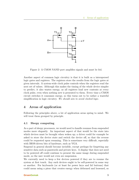

Figure 2: A CMOS NAND port amplifies signals and must be fed.

Another aspect of common logic circuitry is that it is built as a interspersed logic gates and registers. The registers store the results from the logic gates at given intervals. A system-wide clock pulse controls when the registers read the next set of values. Although this makes the timing of the whole device simpler to predict, it also wastes energy, as all registers load new contents at every clock pulse, even when nothing new is presented to them. Every time a CMOS circuit switches it consumes energy, so this turns out to be rather a wasteful simplification in logic circuitry. We should aim to avoid clocked logic.

# 4 Areas of application

Following the principles above, a lot of application areas spring to mind. We will treat them grouped by principle.

#### 4.1 Sleepy computing

As a part of sleepy processors, we would need to handle resumes from suspended modes more elegantly. An important aspect of that would be the state into which devices must be brought when woken up; a driver could for example be asked to store the device state and switch the device off, so that the reverse could be requested upon resuming. This is sometimes very difficult, especially with BIOS-driven bits of hardware, such as VGA.

Suspend in general should become invisible, except perhaps for forgetting any sensitive data such as passwords and private keys. A display that does not need to be powered off could continue to present the same image during suspended mode, so the user would not even see suspension.

We currently need to keep a few devices powered if they are to resume the system at first touch. Any such devices ought to be self-powered in some way or another. For keyboards (or at least for power keys and lid buttons) that could mean using a piezo that creates energy when deformed and loosened, so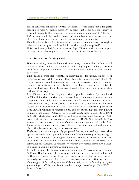that it can spark off other activities. For mice, it could mean that a magnetic principle is used to induce electricity in coils, that could use the energy to transmit signals to the processor. For networking, a new protocol (ATM over I <sup>2</sup>C perhaps) could be used to signal the computer, in such a way that the electric protocol supplies the energy used to resume the computer.

Usually, all that is required to resume a computer is enough energy to toggle a relay into the 'on' position, in which it can then happily keep itself.

Unix is sufficiently flexible in this area to adapt. The currently-missing support is always being able to get/set the state of a hardware device/driver.

#### 4.2 Interrupts driving work

When everything must be done with interrupts, it means that nothing at all is allowed to use polling. As soon as a single thing requires polling, there is a need for a computer component to remain active even when no work remains to be done.

Linux made a great step recently, in removing the dependency on the clock interrupt, at least while sleeping. This interrupt, which took place about 100 times a second, would constantly wake up the processor from sleep modes, causing it to waste energy and take time to fall back to deeper sleep states. It is a great development that Linux now stops this timer interrupt, at least when it dozes off to sleep.

In a different place of the computer, a similar problem persists. Dynamic RAM or DRAM for short, is the most common form of memory in use in modern computers. It is built around a capacitor that forgets its contents if it is not refreshed about 1000 times a second. This means that a memory of 1 GB has an internal data displacement of about 1 TB/s for the sole purpose of performing its main task, which is to remember bits. It is not surprising then, that DRAM is quite a fuel burner. Alternatives to DRAM exist, most notably Static RAM or SRAM which needs much less power but does need more chip area, NORtype Flash for more-or-less static pages, and NVRAM. It is sensible to start using less wasteful types of memory than the currently omnipresent DRAM type. Linux does not support memories of different types being mingled, although the distinction between memory nodes comes close.

Keyboards and mice are generally peripheral devices, and to the processor they appear to cause interrupts only when something interesting is happening to them. But in reality, both types of devices contain a microcontroller that often polls the devices and simply remains silent towards the processor until something has changed. A redesign of common peripherals seems like a useful challenge in keeping memory consumption low.

Invisible peripherals can also burn a lot of energy. Wireless protocols such as WiFi and Bluetooth are pleasant to use, but they involve constant polling and in that they expend a lot of energy. Instead of using this to have constant knowledge of peers and link-state, it may sometimes be better to conserve the energy used for polling wireless links and rely on error handling in higher protocol layers. (This point is not based on in-depth knowledge of how WiFi or Bluetooth works.)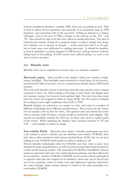Generic peripheral interfaces, notably USB, often rely on polling as well. This is used to detect device insertions and removals. It is sometimes done in USB hardware, and sometimes left to the processor. Polling in general is a clumsy technique, and in the case of USB a change to the pull-up on the "D+" and "D-" lines should be able to do the trick, albeit in analog electronic. The idea of reducing the number of pins of a connector helps to make it simple and cheap, but certainly not to operate it cheaply  $-$  serial connectors had 9 or 25 pins, but at least some were dedicated to causing interrupts. It should be possible, at least in principle, to detect changes in USB devices' pull-up resistors without falling back to bus polling. If USB cannot work without polling, we need a new kind of device interface.

#### 4.3 Bistable state

Bistable state can be exploited in several ways in a modern computer.

Electronic paper. Most notably is the display, which now requires a highenergy backlight. This backlight causes batteries to drain faster (or be heavier), and electricity bills to increase, even it is much better already than a CRT-based monitor.

The trick with bistable screens is that they keep the same picture until a change is passed to them. So, while reading a web page or your email, the display does not consume energy, but bounces back ambient light. Not only does that mean that the screen has stopped to blink at about 50 Hz, but the screen is suitable for reading in more light conditions than LCD or TFT.

Bistable displays are referred to as e-paper or e-ink, and come in a number of different technologies from different manufacturers. The screens can use colours but are usually a bit too slow for video. The quickest ones can refresh the screen twice a second, while 25 times a second would be needed for video display. The screens are probably suitable for GUI use, as these only need to update parts of the screen. While updating the display, they consume between 0.1 W and 5 W — and nothing to retain an image.

Non-volatile RAM. Memories that adopt a bistable mechanism can store a bit without a need to refresh, and are therefore non-volatile, NVRAM. Note that this is often simulated with battery-backed Static RAM, but we are here talking of true NVRAM which needs no battery-backup at all.

Several bistable technologies exist for NVRAM, and they seem to have been adopted by large manufacturers, as well as small startups that found themselves a niche on the memory market. One principle of NVRAM is NanoRAM, which is based on nanotubes that have two stable physical positions, and that effectively act as switches. Another if FRAM of FeRAM, based on ferro-electic principle of a capacitor that has ions trapped in its insulator; these ions can be forced into one of two positions, where it stably rests and influences capacitor behaviour. As a last example, phase change memory is based on the same principles as a rewriteable CD-ROM.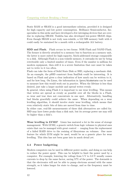Static RAM or SRAM is a good intermediate solution, provided it is designed for high capacity and low power consumption. Brilliance Semiconductor, Inc. specialise in this niche and have developed a few intruiging devices that are overdue in replacing DRAM. Toshiba has also developed low-power SRAM chips. Even though SRAM is not truly non-volatile, a 512 MB memory built with it could easily be sustained for a month with a rechargeable AA battery.

SDD and Flash. Flash occurs in two forms: NOR Flash and NAND Flash. The former is directly attached to a memory bus to function as a memory unit, the latter is more suited for high-capacity, block-addressed storage comparable to a disk. Although Flash is a non-volatile memory, it outranks its use by being rewriteable only a limited number of times. Even if the number is millions for modern equipment, then still it is a severe limitation that care must be taken not to write to it too often.

Flash can take the form of Solid State Disk or SSD, replacing a mechanic disk. As an example, the pSSD construct from SanDisk could be interesting. It is based on Flash and gives a clear indication of how much can be written to it, and for how long. On Linux, the information in /proc/diskstats can be used to measure how this would work out in practice. When the lifetime is less than desired, just take a larger module and spread writes evenly.

In general, when using Flash it is important to use wear levelling. This means that writes are spread as evenly as possible over all the blocks in a Flash, so wear and tear does not concentrate in one spot. Alternatively, handling bad blocks gracefully could achieve the same. When depending on a wear levelling algorithm, it should involve static wear levelling, which means that even relatively static bits of data are moved from time to time.

In either case, real-life measurements of these disk alternatives are called for. SSD may have lower peaks than a disk unit, but its average power use may still be higher than a disk's.

Wear levelling in LVM2? Linux has matured a lot in the sense of storage management. With LVM2, a generic switch from logic volumes to physical ones exists that can be managed with great control — ranging from the replacement of a failed RAID drive to the resizing of filesystems on volumes. One more feature for which LVM might be used, would be as a generic place for wear levelling. This idea has not been gone into in much detail yet.

## 4.4 Power budgetting

Modern computers can be used in different power modes, and doing so can help to reduce the power spent. This can be helpful to limit the power used by a computer. For example, lowering the voltage from  $5 \text{ V}$  to  $3.3 \text{ V}$  usually causes currents to drop by the same factor, saving 57% of the power. The downside is that the electronics will not be able to pump electrons around with the same strength, so it takes longer for state to change, and so the frequency must be lowered.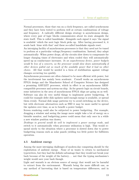Normal processors, those that run on a clock frequency, are called synchronous and they have been tested to perform well at certain combinations of voltage and frequency. A radically different design strategy is asynchronous design, where every pair of logic blocks communicates about its state alongside the state itself. This is called handshake: Alongside each signal it says 'the signal is available' which the next logic block picks up. After having processed it, it sends back 'done with that' and these so-called handshake signals reset.

An intruiging facility of asynchronous processors is that they need not be tuned to perform at a particular voltage/frequency combination. Instead, they adapt automatically: When power drops, all the circuits slow down to compensate for longer charging times of electronics and when cooled they will automatically speed up as conductance increases. In an asynchronous device, power budgets would be less of a concern, as the processor would slow down automatically if other devices pulled out so much of the available power that it had no other choice. All that would be needed is a form of stabilisation against voltage changes occurring too quickly.

Asynchronous processors are often claimed to be more efficient with power, but the involvement has mainly been academic. Cornell works an asynchronous FPGA design and the Manchester School of Computer Science has designed a promising AMULET processor, which in effect is an asynchronous ARMcompatible processor and system-on-chip. As for generic logic on circuit boards, some initiatives in the area of asynchronous FPGA chips are going on as well. Software can also do very useful things to implement power budgetting. It could for example defer disk updates until enough energy is available, or spread them evenly. Normal disk usage patterns try to avoid switching on the device, but with electronic alternatives such as SSD it may be more useful to spread the updates over time, so as to benefit a power budget.

Screen rendering could also be subjected to power budgetting. For example, dragging a window and seeing the image move might take a lot of energy on a bistable monitor, and budgetting power could mean that only once in a while a new window position was drawn.

Desktops in general would do well to implement a power savings mode, and switch to it automatically when processor utilisation is high. This would respond nicely to the situation where a processor is slowed down due to power budgetting reasons such as solar panels yielding too little power for fullblown operation.

#### 4.5 Ambient energy

Among the most intruiging challenges of modern-day computing should be the exploitation of ambient energy. None of us wants to return to mechanical typewriters, but they had the definite advantage that they would not break your back because of the weight of the battery. . . not that the typing mechanism's weight would save your back though.

Light and warmth is an obvious source of energy that would not be harmful to extract from the environment. Warmth being the more difficult one, as any method of harvesting that is based on temperature differences, and in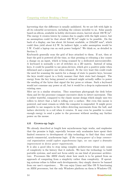harvesting that the difference is usually anihilated. So we are left with light in all its colourful occurrences, including the colours invisible to us. Solar panels based on silicon, available in hobby electronics stores, harvest about  $180 \text{ W/m}^2$ . The energy it creates lowers by cosines due to angles with the light source, but an assumption could be that about 100  $\rm W/m^2$  ought to be possible. On the back of a display, one has about A4 format available, or  $210x297$  mm<sup>2</sup>, which could then yield about 6.2 W. In indirect light, a safer assumption would be 5 W. Could a laptop run on such power budgets? We think so, as detailed in Section 5.

Keyboards generally scan the grid of keys attached to them. If not, then at least the grid is powered all the time, so that pressing or releasing a key causes a change on an input, which is being scanned by a dedicated microcontroller. A keyboard is normally a set of switches on a 2D matrix. Instead of using keys, it could be possible to use piezo-devices, which give a positive pulse when deformed and a negative one when released. At the very least this could evade the need for scanning the matrix for a change of state to passive keys, because the keys would report in a lively manner that their state had changed. The energy from the key being pressed or released might actually suffice to power the sending of the bytes that signal the key press or release. Such a keyboard would not consume any power at all, but it would be a drop-in replacement for existing ones.

Mice are in a similar situation. They sometimes photograph the desk below them and let the processor compare successive shots to detect movement. This is rather wasteful, compared to the classic mouse design which simply uses two rollers to detect that a ball is rolling over a surface. But even this mouse is powered, and must remain so while the computer is suspended. It might prove possible to use magnets in the rollers detecting movements from the ball, and induce electricity in a coil when it rotates. It may even be possible to create enough energy to send a pulse to the processor without needing any further power on the mouse.

## 4.6 Grown-up logic

We already described at length how asynchronous logic works, and emphesise that the promise is high, especially because only acadamies have spent their limited resources to development of chip technology to find that they could match commercial, synchronous logic. If the money-power of a large commercial organisation would explore asynchronous logic, we can expect a dramatic improvement in device power requirements.

It is also a good idea to stop using complex architectures whose only cause of complexity is the history that it embeds. We have the technology to build portable systems, and need not focus solely on one kind of processor architecture. Processors like ARM clearly show how much is to be gained from an approach of computing from a simplicity rather than complexity. If operating systems refuse to follow such developments, they simply deserve be banned from our user's experience. . . We can enjoy Linux and Mac OS X functioning on ARM processors, but the only Windows platform on them is Windows CE.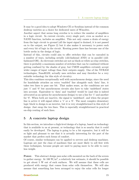It may be a good idea to adopt Windows CE or Symbian instead of the common desktop varieties as a choice for dedicated users of Winodws.

Another aspect that seems long overdue is to reduce the number of amplifiers in a logic circuit. In current circuits, every single port, even as modest as a NAND function, includes an amplifier. This not only causes a drain of energy from the logic circuit to ground (all the input signal is drained, it is not passed on to the output, see Figure 2) but it also makes it necessary to power each and every bit of logic in the circuit. Routing power lines has become one of the bottle necks in the design of logic.

Instead of this, circuits could aim to offer switches that can be cascaded in a number of ways, including serially (old-fashiond AND) or in parallel (oldfashioned OR). As electronic switches are not as black-or-white as relay switches, there is probably a maximum number of switches that can be combined without getting confused by the shades of gray, but CMOS amplifiers certainly accept wider ranges of input voltage than their outputs supply. One of the NVRAM technologies, NanoRAM, actually uses switches and may therefore be a very suitable technology for this style of circuitry.

This idea combines exceptionally well with asynchronous design; since the need for handshake attaches an extra 'enabled' line alongside each 'data' line, it takes two lines to pass one bit. That makes sense, as the conditions are not just '1' and '0' but asynchronous circuits also have to take 'undefined' states into account. Equivalent to 'data' and 'enabled' would be (and this is indeed advocated as an option for asynchronous design) to use a line for '1' and another for '0'. When both are inactive, the signal is 'undefined', and when the proper line is active it will signal either a '1' or a '0'. The most complex elementary logic block to design is an inverter, but it is very straightforward in this style of design: Just swap the two lines. This is especially straightforward in practical on-chip routing of such lines.

## 5 A concrete laptop design

In this section, we introduce a high-level design of a laptop, based on technology that is available to us at present, or technology that is so nearby that it could easily be developed. The laptop is going to be a bit expensive, but it will be so light and pleasant to use that it is actually interesting for the part of the market that prefers such forms of comfort.

Of course, similar techniques can be applied to servers and desktop machines. Laptops are just the class of machines that are most likely to sell first with these techniques, because people are used to paying more to be able to carry less weight.

Power. This abstract design uses solar cells mounted on the back of the screen to gather energy. At 100  $\text{W}/\text{m}^2$ , a relatively low estimate, it should be possible to get about 5 W out of such surfaces. We will assume that these cells are produced with energy that comes from solar cells themselves. We will also assume that something has been arranged to enjoy the solar cells for longer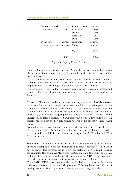| Power gained   | mW      | Power spent | mW      |
|----------------|---------|-------------|---------|
| Solar cells    | 5000    | Processor   | 1100    |
|                |         | Display     | 1000    |
|                |         | Memory      | 81      |
|                |         | Disk        | 400     |
| Piezo keys     | neutral | Keyboard    | neutral |
| Magnetic mouse | neutral | Mouse       | neutral |
|                |         | Margin      | 2419    |
|                |         |             | 500     |

Figure 3: Laptop Power Balance

than the lifetime of an average laptop. As an alternative, a crank handle can also supply a similar power, which could be used anywhere to charge a capacitor, not a battery.

The 5 W means we are on a tight power budget, considering that a modest standard laptop still consumes 30 W when it is merely running. It would be helpful to have a power budgetting daemon run on such a laptop.

The major places where a laptop spends its energy are its screen, processor and memory. These are all open for improvements. We summerise our findings in Figure 3.

Screen. The screen can be replaced with an e-paper screen. Models in colour have been demonstrated, as well as A4-sized models. It would appear that an e-paper screen can do its work well enough. These screens take about a second to update, but in normal use we hardly ever need to change large portions at once, so GUI use should be just possible. Actually, to view a movie it would undergo 25 updates a second, so it will proabably be just a few years before all screens will go e-paper. For non-gaming use, we could probably choose them today.

We are likely to choose a model from Nemoptic, as they seem to provide larger displays than eInk. To update their displays, only a few Joules are needed; count on 5 J for a full display, which can be spread as 5 W in 1 s or 2 W in 2.5 s, and so on.

Processor. A bold choice concerns the processor of our laptop: it will not be one that is compatible with the incongruent line of i386-processors. Their use of energy simply does not work for us. We would prefer an i.MX31 from FreeScale, for example; this is an ARM11-based System-on-Chip that runs at 1.1 W, including drivers for its peripherals. It runs around 750 MIPS or, perhaps more insightful, it is the processor that is also used in Apple's iPhone.

The ARM1136JF-S processor embedded on the device is able to run Java bytecode as an alternative to the ARM bytecodes. This may be a practical way of getting more functionality to run on the machine than anything else.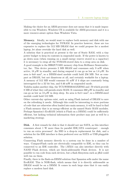Making the choice for an ARM-processor does not mean that it is made impossible to run Windows; Windows CE is available for ARM-processors and it is a more resource-aware option than Windows Vista.

Memory. Ideally, we would want to replace both memory and disk with one of the emerging technologies for NVRAM. In practice however, these are too expensive to replace the 512 MB DRAM that we could propose for a modest laptop, let alone overtake the hard disk as well.

A solution that is practical at present is the use of Static RAM, with a tiny power budget to keep its contents in suspended mode. If the power is known to go down soon (when running on a small energy reserve stored in a capacitor) it is necessary to swap all the NVRAM-stored data to a swap area on disk.

A good example is the BH62UV1691 memory chip from Brilliance Semiconductor, Inc. This device presents 2 MB SRAM and consumes only 9 mW when active, 18  $\mu$ W in standby, and during suspend it can go as low as 1.8  $\mu$ W. Its area is 6x8 mm<sup>2</sup> , so a DIMM-sized module could hold 256 MB. Not as compact as DRAM, but not disastrous at all, and certainly workable for a laptop. A memory of 512 MB would consume 81 mW if 4 chips are constantly being interrogated for a 32 bit bus, and 0.46 mW in suspended mode.

Toshiba makes another chip, the TC51WHM616AXBN65 and -70 which provide 8 MB of what they call pseudo-static RAM. It consumes 260  $\mu$ W in standby and can go as low as 13  $\mu$ W in deep sleep. Its area is  $8x11$  mm<sup>2</sup>, so a DIMM-sized module could hold 512 MB.

Other current-day options exist, such as using Flash instead of DRAM to save on the refreshing it needs. Although this could be interesting to store portions of code that are otherwise often loaded into main memory, it will be hard to find a Flash memory that is as energy-efficient as the named Static RAM modules. Perhaps Spansion's EcoRAM (which is Flash on a DIMM) could be sufficiently efficient, but lacking technical information their product may just as well be a marketing strategy.

Disk. A first remark for disk is that it should not use SATA, as this interface consumes about 1 W more than its parallel IDE/ATA counterpart – enough to run an extra processor! An SSD is a drop-in replacement for disk, and a solution for the IDE interface is then preferred over an SATA or USB pluggable solution.

Connecting Flash memory directly to a system can be done in a number of ways. CompactFlash cards are electrically compatible to IDE, so they can be connected to an IDE controller. The i.MX31 can also interface directly with NAND Flash devices, which are block-addressable Flash devices. It is not possible to run code from such devices, but a flash filesystem such as jffs2 could well run on them.

Finally, there is the flash-on-DIMM solution that Spansion sells under the name EcoRAM. This is NOR-flash, which means that it is directly addressable as DRAM would be on a DIMM. It comes in such large sizes that it can easily replace a modern hard disk.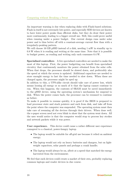An important warning is due when replacing disks with Flash-based solutions. Flash in itself is not extremely low-power, and especially SDD devices are known to have lower power peaks than efficient disks, but they do draw their power more continuously, leading to a bigger overall use. Still, this could prove useful when running under a power budget. Our current design runs under solar power and is thus better off with a constant-average current flow than with a irregularly-peaking pattern.

We will choose 16 GB pSSD instead of a disk, needing 1 mW in standby up to 0.8 W when it is reading and writing at the same time. Note that it is possible to budget power, as reading and writing only each consumes 0.4 W.

Specialised controllers A few specialised controllers are needed to make the most of this laptop. First, the power budgetting can benefit from specialised circuitry that continuously monitors the power obtained from the solar cells. When that drops, the processor should be slowed down, and preferrably also the speed at which the screen is updated. Additional capacitors are needed to store enought energy to last the time needed to slow down. When these are charged again, the processor might be sped up.

In addtion to this, a UPS-alike circuit should take care of power loss, which means loosing all energy or so much of it that the laptop cannot continue to run. When this happens, the contents of SRAM must be saved immediately to the pSSD device, using the operating system's mechanism for suspend to disk. When the power comes back, the processor can be resumed to continue as before.

To make it possible to resume quickly, it is good if the BIOS is prepared to load processor state and stack pointers and such from disk, and take off from the point where the computer was suspended. The operating system must then take care of resuming all the devices through their drivers. When done well, the e-paper screen need not even blink to show that the system went down. All the user would notice is that the computer would stop to process key strokes and network packets while it was power.

User experience. This device could cause a rather different user experience comapred to a classical, power-hungry laptop.

- The laptop would be suitable for off-grid use because it relied on ambient energy;
- The laptop would not rely on heavy batteries and chargers, but on lightweight capacitors, solar panels and perhaps a crank handle;
- The laptop would always be on, albeit at a speed that matched the energy harvested from the environment;

We feel that such devices could create a market of their own, probably replacing common laptops and reader devices in due course.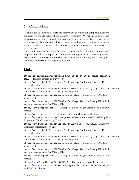# 6 Conclusions

As explained in this paper, there are many ways in which our computer industry can improve the efficiency of the devices it produces. We will need to do this to overcome the danger ahead of a total energy crisis. In addition, it will mean that we can continue to enjoy devices in our immediate surroundings, to arrange those things for us that we prefer to have interact with us, rather than passively wait on paper.

Unix would seem to be ready for most changes. A few things it has not been prepared for are (1) supporting saving and loading of device state in general, (2) supporting a mixture of alternatives besides plain DRAM, and (3) support for power budgetting, perhaps in a daemon.

# Links

http://groengemak.nl/nl/article/2008-05-19-10-05.toekomst-computer. html — Related article on our website.

http://www.digit-life.com/articles2/storage/hddpower.html — Power use by disk devices

http://www.freescale.com/webapp/sps/site/prod summary.jsp?code=i.MX31&nodeId= 0162468rH311432973ZrDR — i.MX31 information

http://spansion.com/about/press kit cd.html — Spansion EcoRAM (only a press kit).

http://www.sandisk.com/OEM/ProductCatalog(1410)-SanDisk pSSD Solid State Drive.aspx — SanDisk pSSD

http://www.nemoptic.com/ — Nemoptic makes larger screens, and colour screens.

 $http://www.eink.com/ — e-Ink constructs somewhat faster displays.$ 

http://www.toshiba.com/taec/components/Datasheet/51WHM616AXBN.pdf — A 'pseudo' SRAM device by Toshiba.

http://www.farnell.com/datasheets/104519.pdf — An SRAM device by Brilliance Semiconductor, Inc.

http://www.digit-life.com/articles2/storage/hddpower.html — Power use by disk devices

http://www.freescale.com/webapp/sps/site/prod summary.jsp?code=i.MX31&nodeId= 0162468rH311432973ZrDR — i.MX31 information

http://spansion.com/about/press kit cd.html — Spansion EcoRAM (only a press kit).

http://www.sandisk.com/OEM/ProductCatalog(1410)-SanDisk pSSD Solid State Drive.aspx — SanDisk pSSD

http://www.nemoptic.com/ — Nemoptic makes larger screens, and colour screens.

http://en.wikipedia.org/wiki/NVRAM — Forms of non-volatile memory

http://www.ramtron.com/files/tech papers/FerroelectricTechBrief.pdf

— FRAM explained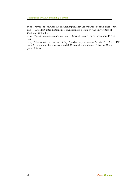Computing without Breaking a Sweat

http://www1.cs.columbia.edu/async/publications/davis-nowick-intro-tr. pdf — Excellent introduction into asynchronous design by the universities of Utah and Columbia.

 ${\tt http://vlsi.cornell.edu/fpga.php—Cornell research on asynchronous FPGA}$ logic

<code>http://intranet.cs.man.ac.uk/apt/projects/processors/amulet/ $-$  <code>AMULET</code></code> is an ARM-compatible processor and SoC from the Manchester School of Computer Science.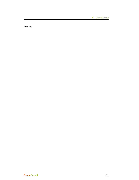6 Conclusions

Notes: